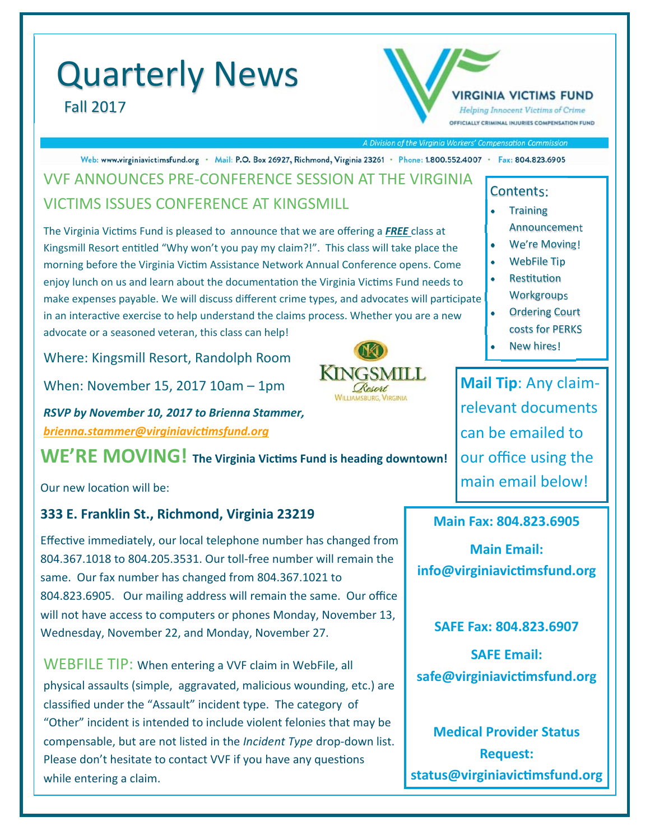# Quarterly News Fall 2017



A Division of the Virginia Workers' Compensation Commission

Web: www.virginiavictimsfund.org · Mail: P.O. Box 26927, Richmond, Virginia 23261 · Phone: 1.800.552.4007 · Fax: 804.823.6905

## VVF ANNOUNCES PRE‐CONFERENCE SESSION AT THE VIRGINIA VICTIMS ISSUES CONFERENCE AT KINGSMILL

The Virginia Victims Fund is pleased to announce that we are offering a FREE class at Kingsmill Resort entitled "Why won't you pay my claim?!". This class will take place the morning before the Virginia Victim Assistance Network Annual Conference opens. Come enjoy lunch on us and learn about the documentation the Virginia Victims Fund needs to make expenses payable. We will discuss different crime types, and advocates will participate in an interactive exercise to help understand the claims process. Whether you are a new advocate or a seasoned veteran, this class can help!

Where: Kingsmill Resort, Randolph Room

When: November 15, 2017 10am – 1pm

*RSVP by November 10, 2017 to Brienna Stammer, brienna.stammer@virginiavicƟmsfund.org* 

**WE'RE MOVING!** The Virginia Victims Fund is heading downtown!

Our new location will be:

### **333 E. Franklin St., Richmond, Virginia 23219**

Effective immediately, our local telephone number has changed from 804.367.1018 to 804.205.3531. Our toll-free number will remain the same. Our fax number has changed from 804.367.1021 to 804.823.6905. Our mailing address will remain the same. Our office will not have access to computers or phones Monday, November 13, Wednesday, November 22, and Monday, November 27.

WEBFILE TIP: When entering a VVF claim in WebFile, all physical assaults (simple, aggravated, malicious wounding, etc.) are classified under the "Assault" incident type. The category of "Other" incident is intended to include violent felonies that may be compensable, but are not listed in the *Incident Type* drop‐down list. Please don't hesitate to contact VVF if you have any questions while entering a claim.

#### Contents:

- Training Announcement
- We're Moving!
- WebFile Tip
- **Restitution Workgroups**
- Ordering Court costs for PERKS
- New hires!

**Mail Tip**: Any claim‐ relevant documents can be emailed to our office using the main email below!

#### **Main Fax: 804.823.6905**

**Main Email: info@virginiavicƟmsfund.org** 

**SAFE Fax: 804.823.6907** 

**SAFE Email: safe@virginiavicƟmsfund.org** 

**Medical Provider Status Request: status@virginiavicƟmsfund.org**